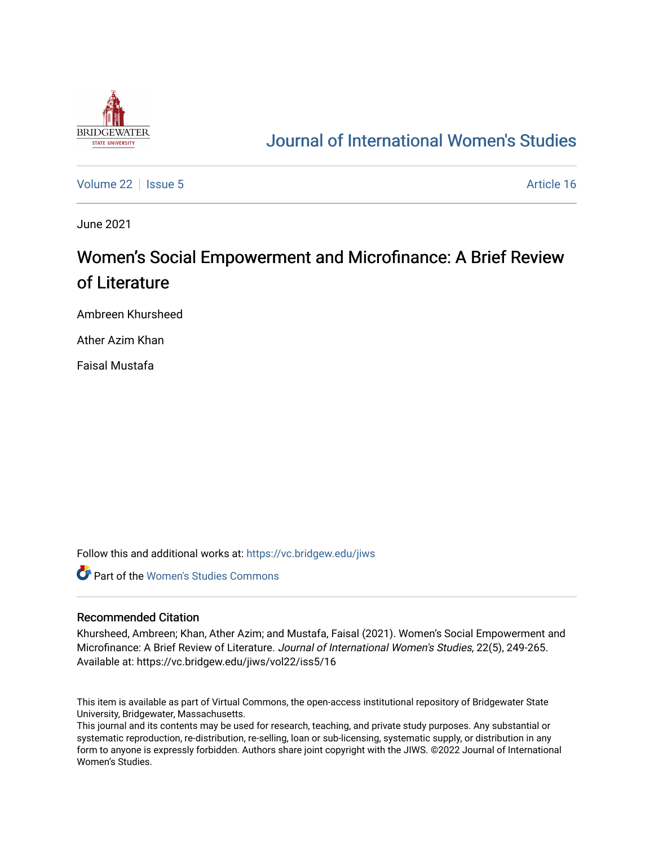

## [Journal of International Women's Studies](https://vc.bridgew.edu/jiws)

[Volume 22](https://vc.bridgew.edu/jiws/vol22) | [Issue 5](https://vc.bridgew.edu/jiws/vol22/iss5) Article 16

June 2021

# Women's Social Empowerment and Microfinance: A Brief Review of Literature

Ambreen Khursheed

Ather Azim Khan

Faisal Mustafa

Follow this and additional works at: [https://vc.bridgew.edu/jiws](https://vc.bridgew.edu/jiws?utm_source=vc.bridgew.edu%2Fjiws%2Fvol22%2Fiss5%2F16&utm_medium=PDF&utm_campaign=PDFCoverPages)

**C** Part of the Women's Studies Commons

#### Recommended Citation

Khursheed, Ambreen; Khan, Ather Azim; and Mustafa, Faisal (2021). Women's Social Empowerment and Microfinance: A Brief Review of Literature. Journal of International Women's Studies, 22(5), 249-265. Available at: https://vc.bridgew.edu/jiws/vol22/iss5/16

This item is available as part of Virtual Commons, the open-access institutional repository of Bridgewater State University, Bridgewater, Massachusetts.

This journal and its contents may be used for research, teaching, and private study purposes. Any substantial or systematic reproduction, re-distribution, re-selling, loan or sub-licensing, systematic supply, or distribution in any form to anyone is expressly forbidden. Authors share joint copyright with the JIWS. ©2022 Journal of International Women's Studies.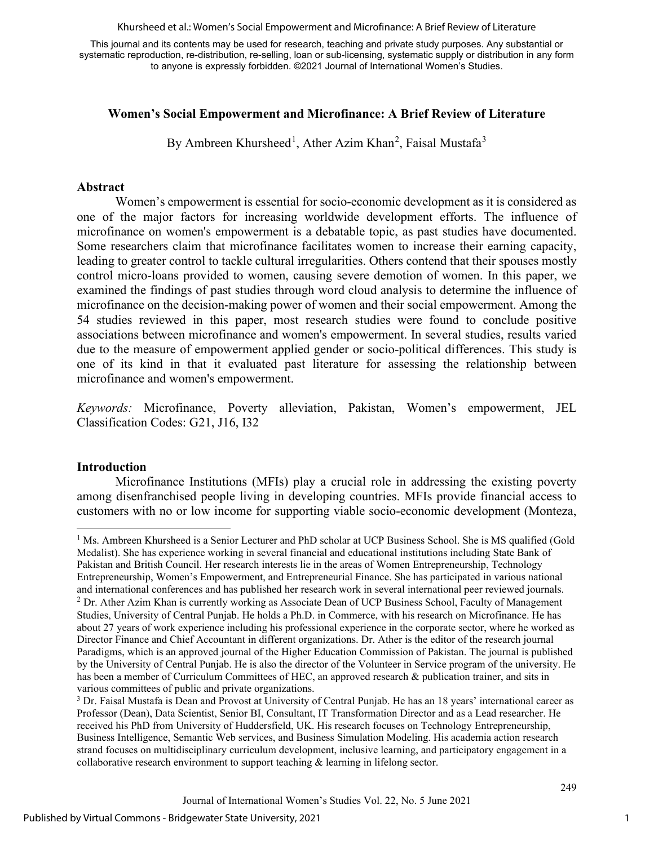Khursheed et al.: Women's Social Empowerment and Microfinance: A Brief Review of Literature

This journal and its contents may be used for research, teaching and private study purposes. Any substantial or systematic reproduction, re-distribution, re-selling, loan or sub-licensing, systematic supply or distribution in any form to anyone is expressly forbidden. ©2021 Journal of International Women's Studies.

#### **Women's Social Empowerment and Microfinance: A Brief Review of Literature**

By Ambreen Khursheed<sup>[1](#page-1-0)</sup>, Ather Azim Khan<sup>[2](#page-1-1)</sup>, Faisal Mustafa<sup>[3](#page-1-2)</sup>

#### **Abstract**

Women's empowerment is essential for socio-economic development as it is considered as one of the major factors for increasing worldwide development efforts. The influence of microfinance on women's empowerment is a debatable topic, as past studies have documented. Some researchers claim that microfinance facilitates women to increase their earning capacity, leading to greater control to tackle cultural irregularities. Others contend that their spouses mostly control micro-loans provided to women, causing severe demotion of women. In this paper, we examined the findings of past studies through word cloud analysis to determine the influence of microfinance on the decision-making power of women and their social empowerment. Among the 54 studies reviewed in this paper, most research studies were found to conclude positive associations between microfinance and women's empowerment. In several studies, results varied due to the measure of empowerment applied gender or socio-political differences. This study is one of its kind in that it evaluated past literature for assessing the relationship between microfinance and women's empowerment.

*Keywords:* Microfinance, Poverty alleviation, Pakistan, Women's empowerment, JEL Classification Codes: G21, J16, I32

#### **Introduction**

Microfinance Institutions (MFIs) play a crucial role in addressing the existing poverty among disenfranchised people living in developing countries. MFIs provide financial access to customers with no or low income for supporting viable socio-economic development (Monteza,

<span id="page-1-1"></span><span id="page-1-0"></span><sup>&</sup>lt;sup>1</sup> Ms. Ambreen Khursheed is a Senior Lecturer and PhD scholar at UCP Business School. She is MS qualified (Gold Medalist). She has experience working in several financial and educational institutions including State Bank of Pakistan and British Council. Her research interests lie in the areas of Women Entrepreneurship, Technology Entrepreneurship, Women's Empowerment, and Entrepreneurial Finance. She has participated in various national and international conferences and has published her research work in several international peer reviewed journals. <sup>2</sup> Dr. Ather Azim Khan is currently working as Associate Dean of UCP Business School, Faculty of Management Studies, University of Central Punjab. He holds a Ph.D. in Commerce, with his research on Microfinance. He has about 27 years of work experience including his professional experience in the corporate sector, where he worked as Director Finance and Chief Accountant in different organizations. Dr. Ather is the editor of the research journal Paradigms, which is an approved journal of the Higher Education Commission of Pakistan. The journal is published by the University of Central Punjab. He is also the director of the Volunteer in Service program of the university. He has been a member of Curriculum Committees of HEC, an approved research & publication trainer, and sits in various committees of public and private organizations.

<span id="page-1-2"></span><sup>3</sup> Dr. Faisal Mustafa is Dean and Provost at University of Central Punjab. He has an 18 years' international career as Professor (Dean), Data Scientist, Senior BI, Consultant, IT Transformation Director and as a Lead researcher. He received his PhD from University of Huddersfield, UK. His research focuses on Technology Entrepreneurship, Business Intelligence, Semantic Web services, and Business Simulation Modeling. His academia action research strand focuses on multidisciplinary curriculum development, inclusive learning, and participatory engagement in a collaborative research environment to support teaching & learning in lifelong sector.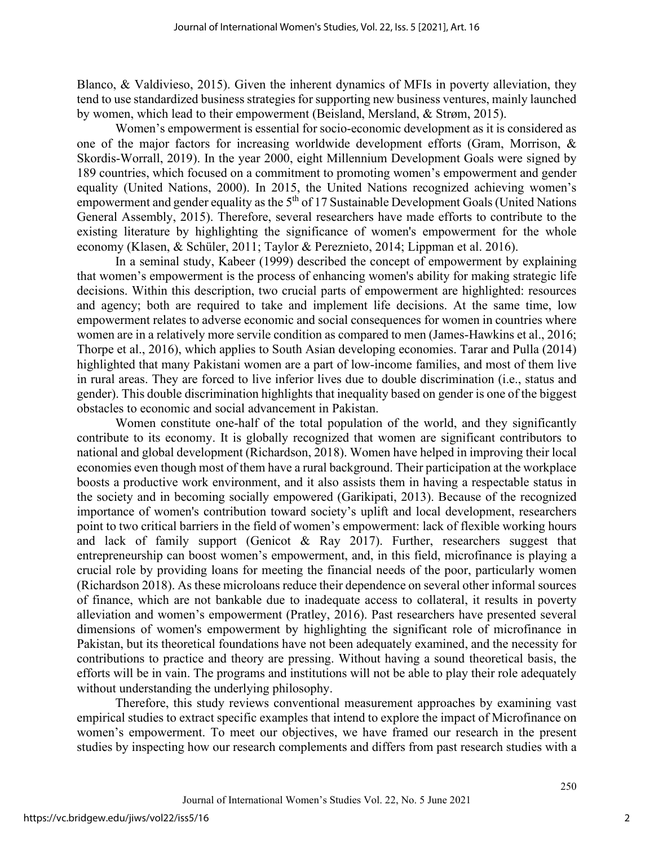Blanco, & Valdivieso, 2015). Given the inherent dynamics of MFIs in poverty alleviation, they tend to use standardized business strategies for supporting new business ventures, mainly launched by women, which lead to their empowerment (Beisland, Mersland, & Strøm, 2015).

Women's empowerment is essential for socio-economic development as it is considered as one of the major factors for increasing worldwide development efforts (Gram, Morrison, & Skordis-Worrall, 2019). In the year 2000, eight Millennium Development Goals were signed by 189 countries, which focused on a commitment to promoting women's empowerment and gender equality (United Nations, 2000). In 2015, the United Nations recognized achieving women's empowerment and gender equality as the 5<sup>th</sup> of 17 Sustainable Development Goals (United Nations General Assembly, 2015). Therefore, several researchers have made efforts to contribute to the existing literature by highlighting the significance of women's empowerment for the whole economy (Klasen, & Schüler, 2011; Taylor & Pereznieto, 2014; Lippman et al. 2016).

In a seminal study, Kabeer (1999) described the concept of empowerment by explaining that women's empowerment is the process of enhancing women's ability for making strategic life decisions. Within this description, two crucial parts of empowerment are highlighted: resources and agency; both are required to take and implement life decisions. At the same time, low empowerment relates to adverse economic and social consequences for women in countries where women are in a relatively more servile condition as compared to men (James-Hawkins et al., 2016; Thorpe et al., 2016), which applies to South Asian developing economies. Tarar and Pulla (2014) highlighted that many Pakistani women are a part of low-income families, and most of them live in rural areas. They are forced to live inferior lives due to double discrimination (i.e., status and gender). This double discrimination highlights that inequality based on gender is one of the biggest obstacles to economic and social advancement in Pakistan.

Women constitute one-half of the total population of the world, and they significantly contribute to its economy. It is globally recognized that women are significant contributors to national and global development (Richardson, 2018). Women have helped in improving their local economies even though most of them have a rural background. Their participation at the workplace boosts a productive work environment, and it also assists them in having a respectable status in the society and in becoming socially empowered (Garikipati, 2013). Because of the recognized importance of women's contribution toward society's uplift and local development, researchers point to two critical barriers in the field of women's empowerment: lack of flexible working hours and lack of family support (Genicot & Ray 2017). Further, researchers suggest that entrepreneurship can boost women's empowerment, and, in this field, microfinance is playing a crucial role by providing loans for meeting the financial needs of the poor, particularly women (Richardson 2018). As these microloans reduce their dependence on several other informal sources of finance, which are not bankable due to inadequate access to collateral, it results in poverty alleviation and women's empowerment (Pratley, 2016). Past researchers have presented several dimensions of women's empowerment by highlighting the significant role of microfinance in Pakistan, but its theoretical foundations have not been adequately examined, and the necessity for contributions to practice and theory are pressing. Without having a sound theoretical basis, the efforts will be in vain. The programs and institutions will not be able to play their role adequately without understanding the underlying philosophy.

Therefore, this study reviews conventional measurement approaches by examining vast empirical studies to extract specific examples that intend to explore the impact of Microfinance on women's empowerment. To meet our objectives, we have framed our research in the present studies by inspecting how our research complements and differs from past research studies with a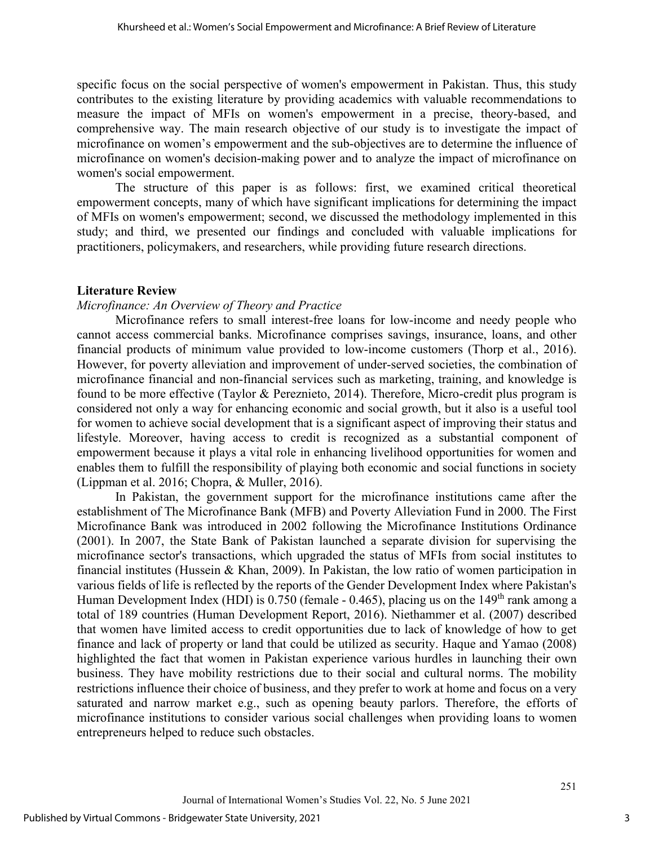specific focus on the social perspective of women's empowerment in Pakistan. Thus, this study contributes to the existing literature by providing academics with valuable recommendations to measure the impact of MFIs on women's empowerment in a precise, theory-based, and comprehensive way. The main research objective of our study is to investigate the impact of microfinance on women's empowerment and the sub-objectives are to determine the influence of microfinance on women's decision-making power and to analyze the impact of microfinance on women's social empowerment.

The structure of this paper is as follows: first, we examined critical theoretical empowerment concepts, many of which have significant implications for determining the impact of MFIs on women's empowerment; second, we discussed the methodology implemented in this study; and third, we presented our findings and concluded with valuable implications for practitioners, policymakers, and researchers, while providing future research directions.

#### **Literature Review**

#### *Microfinance: An Overview of Theory and Practice*

Microfinance refers to small interest-free loans for low-income and needy people who cannot access commercial banks. Microfinance comprises savings, insurance, loans, and other financial products of minimum value provided to low-income customers (Thorp et al., 2016). However, for poverty alleviation and improvement of under-served societies, the combination of microfinance financial and non-financial services such as marketing, training, and knowledge is found to be more effective (Taylor & Pereznieto, 2014). Therefore, Micro-credit plus program is considered not only a way for enhancing economic and social growth, but it also is a useful tool for women to achieve social development that is a significant aspect of improving their status and lifestyle. Moreover, having access to credit is recognized as a substantial component of empowerment because it plays a vital role in enhancing livelihood opportunities for women and enables them to fulfill the responsibility of playing both economic and social functions in society (Lippman et al. 2016; Chopra, & Muller, 2016).

In Pakistan, the government support for the microfinance institutions came after the establishment of The Microfinance Bank (MFB) and Poverty Alleviation Fund in 2000. The First Microfinance Bank was introduced in 2002 following the Microfinance Institutions Ordinance (2001). In 2007, the State Bank of Pakistan launched a separate division for supervising the microfinance sector's transactions, which upgraded the status of MFIs from social institutes to financial institutes (Hussein & Khan, 2009). In Pakistan, the low ratio of women participation in various fields of life is reflected by the reports of the Gender Development Index where Pakistan's Human Development Index (HDI) is  $0.750$  (female  $-0.465$ ), placing us on the  $149<sup>th</sup>$  rank among a total of 189 countries (Human Development Report, 2016). Niethammer et al. (2007) described that women have limited access to credit opportunities due to lack of knowledge of how to get finance and lack of property or land that could be utilized as security. Haque and Yamao (2008) highlighted the fact that women in Pakistan experience various hurdles in launching their own business. They have mobility restrictions due to their social and cultural norms. The mobility restrictions influence their choice of business, and they prefer to work at home and focus on a very saturated and narrow market e.g., such as opening beauty parlors. Therefore, the efforts of microfinance institutions to consider various social challenges when providing loans to women entrepreneurs helped to reduce such obstacles.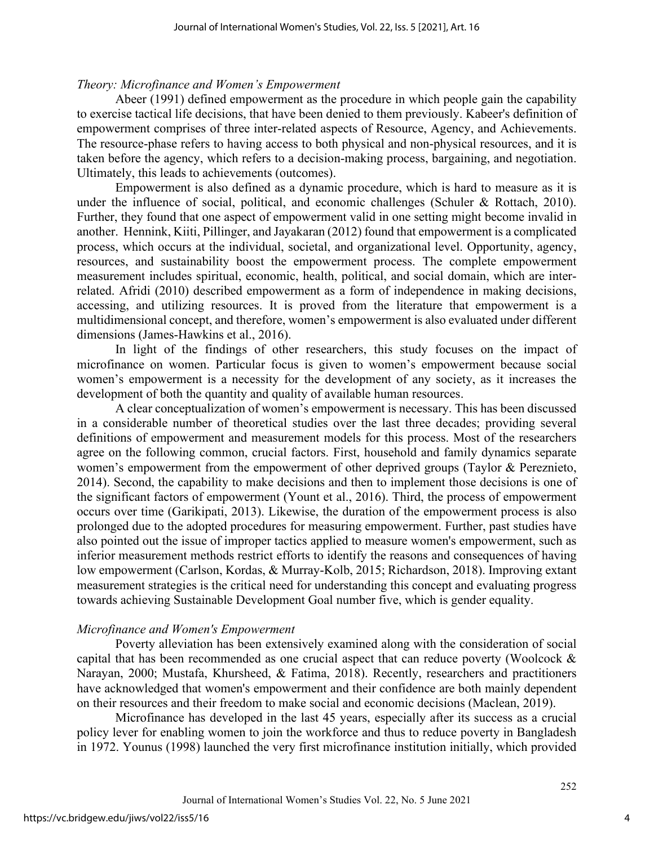#### *Theory: Microfinance and Women's Empowerment*

Abeer (1991) defined empowerment as the procedure in which people gain the capability to exercise tactical life decisions, that have been denied to them previously. Kabeer's definition of empowerment comprises of three inter-related aspects of Resource, Agency, and Achievements. The resource-phase refers to having access to both physical and non-physical resources, and it is taken before the agency, which refers to a decision-making process, bargaining, and negotiation. Ultimately, this leads to achievements (outcomes).

Empowerment is also defined as a dynamic procedure, which is hard to measure as it is under the influence of social, political, and economic challenges (Schuler & Rottach, 2010). Further, they found that one aspect of empowerment valid in one setting might become invalid in another. Hennink, Kiiti, Pillinger, and Jayakaran (2012) found that empowerment is a complicated process, which occurs at the individual, societal, and organizational level. Opportunity, agency, resources, and sustainability boost the empowerment process. The complete empowerment measurement includes spiritual, economic, health, political, and social domain, which are interrelated. Afridi (2010) described empowerment as a form of independence in making decisions, accessing, and utilizing resources. It is proved from the literature that empowerment is a multidimensional concept, and therefore, women's empowerment is also evaluated under different dimensions (James-Hawkins et al., 2016).

In light of the findings of other researchers, this study focuses on the impact of microfinance on women. Particular focus is given to women's empowerment because social women's empowerment is a necessity for the development of any society, as it increases the development of both the quantity and quality of available human resources.

A clear conceptualization of women's empowerment is necessary. This has been discussed in a considerable number of theoretical studies over the last three decades; providing several definitions of empowerment and measurement models for this process. Most of the researchers agree on the following common, crucial factors. First, household and family dynamics separate women's empowerment from the empowerment of other deprived groups (Taylor & Pereznieto, 2014). Second, the capability to make decisions and then to implement those decisions is one of the significant factors of empowerment (Yount et al., 2016). Third, the process of empowerment occurs over time (Garikipati, 2013). Likewise, the duration of the empowerment process is also prolonged due to the adopted procedures for measuring empowerment. Further, past studies have also pointed out the issue of improper tactics applied to measure women's empowerment, such as inferior measurement methods restrict efforts to identify the reasons and consequences of having low empowerment (Carlson, Kordas, & Murray-Kolb, 2015; Richardson, 2018). Improving extant measurement strategies is the critical need for understanding this concept and evaluating progress towards achieving Sustainable Development Goal number five, which is gender equality.

#### *Microfinance and Women's Empowerment*

Poverty alleviation has been extensively examined along with the consideration of social capital that has been recommended as one crucial aspect that can reduce poverty (Woolcock & Narayan, 2000; Mustafa, Khursheed, & Fatima, 2018). Recently, researchers and practitioners have acknowledged that women's empowerment and their confidence are both mainly dependent on their resources and their freedom to make social and economic decisions (Maclean, 2019).

Microfinance has developed in the last 45 years, especially after its success as a crucial policy lever for enabling women to join the workforce and thus to reduce poverty in Bangladesh in 1972. Younus (1998) launched the very first microfinance institution initially, which provided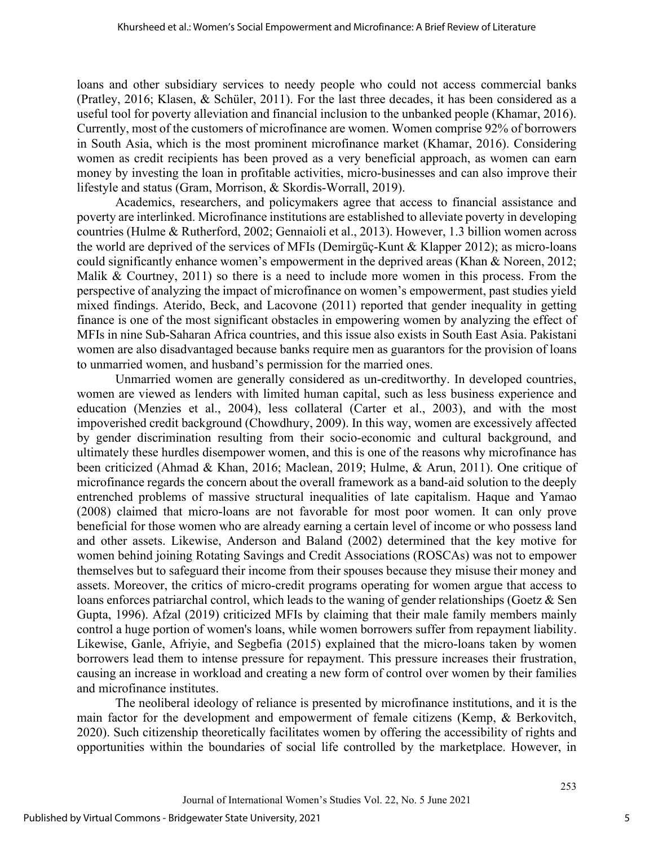loans and other subsidiary services to needy people who could not access commercial banks (Pratley, 2016; Klasen, & Schüler, 2011). For the last three decades, it has been considered as a useful tool for poverty alleviation and financial inclusion to the unbanked people (Khamar, 2016). Currently, most of the customers of microfinance are women. Women comprise 92% of borrowers in South Asia, which is the most prominent microfinance market (Khamar, 2016). Considering women as credit recipients has been proved as a very beneficial approach, as women can earn money by investing the loan in profitable activities, micro-businesses and can also improve their lifestyle and status (Gram, Morrison, & Skordis-Worrall, 2019).

Academics, researchers, and policymakers agree that access to financial assistance and poverty are interlinked. Microfinance institutions are established to alleviate poverty in developing countries (Hulme & Rutherford, 2002; Gennaioli et al., 2013). However, 1.3 billion women across the world are deprived of the services of MFIs (Demirgüç-Kunt & Klapper 2012); as micro-loans could significantly enhance women's empowerment in the deprived areas (Khan & Noreen, 2012; Malik & Courtney, 2011) so there is a need to include more women in this process. From the perspective of analyzing the impact of microfinance on women's empowerment, past studies yield mixed findings. Aterido, Beck, and Lacovone (2011) reported that gender inequality in getting finance is one of the most significant obstacles in empowering women by analyzing the effect of MFIs in nine Sub-Saharan Africa countries, and this issue also exists in South East Asia. Pakistani women are also disadvantaged because banks require men as guarantors for the provision of loans to unmarried women, and husband's permission for the married ones.

Unmarried women are generally considered as un-creditworthy. In developed countries, women are viewed as lenders with limited human capital, such as less business experience and education (Menzies et al., 2004), less collateral (Carter et al., 2003), and with the most impoverished credit background (Chowdhury, 2009). In this way, women are excessively affected by gender discrimination resulting from their socio-economic and cultural background, and ultimately these hurdles disempower women, and this is one of the reasons why microfinance has been criticized (Ahmad & Khan, 2016; Maclean, 2019; Hulme, & Arun, 2011). One critique of microfinance regards the concern about the overall framework as a band-aid solution to the deeply entrenched problems of massive structural inequalities of late capitalism. Haque and Yamao (2008) claimed that micro-loans are not favorable for most poor women. It can only prove beneficial for those women who are already earning a certain level of income or who possess land and other assets. Likewise, Anderson and Baland (2002) determined that the key motive for women behind joining Rotating Savings and Credit Associations (ROSCAs) was not to empower themselves but to safeguard their income from their spouses because they misuse their money and assets. Moreover, the critics of micro-credit programs operating for women argue that access to loans enforces patriarchal control, which leads to the waning of gender relationships (Goetz & Sen Gupta, 1996). Afzal (2019) criticized MFIs by claiming that their male family members mainly control a huge portion of women's loans, while women borrowers suffer from repayment liability. Likewise, Ganle, Afriyie, and Segbefia (2015) explained that the micro-loans taken by women borrowers lead them to intense pressure for repayment. This pressure increases their frustration, causing an increase in workload and creating a new form of control over women by their families and microfinance institutes.

The neoliberal ideology of reliance is presented by microfinance institutions, and it is the main factor for the development and empowerment of female citizens (Kemp, & Berkovitch, 2020). Such citizenship theoretically facilitates women by offering the accessibility of rights and opportunities within the boundaries of social life controlled by the marketplace. However, in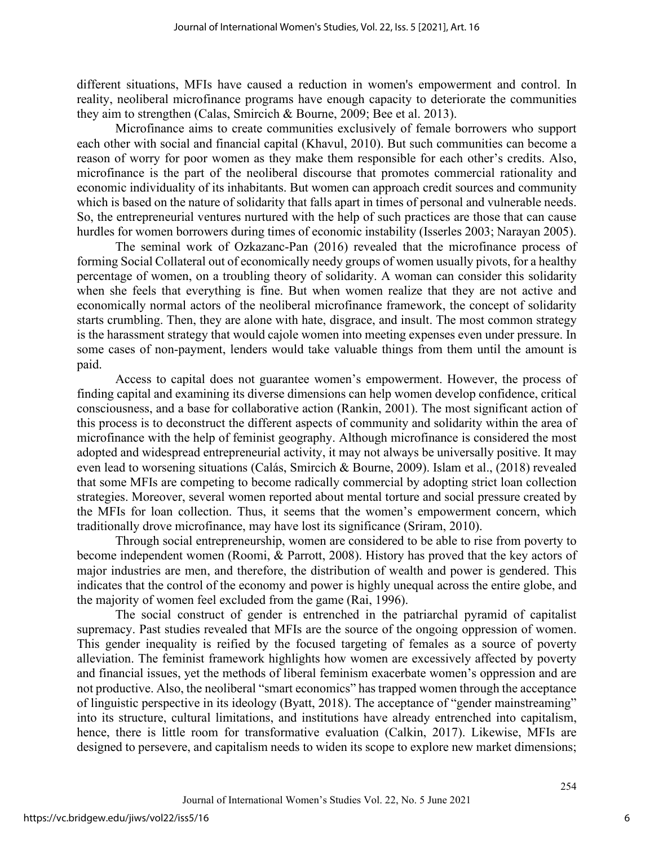different situations, MFIs have caused a reduction in women's empowerment and control. In reality, neoliberal microfinance programs have enough capacity to deteriorate the communities they aim to strengthen (Calas, Smircich & Bourne, 2009; Bee et al. 2013).

Microfinance aims to create communities exclusively of female borrowers who support each other with social and financial capital (Khavul, 2010). But such communities can become a reason of worry for poor women as they make them responsible for each other's credits. Also, microfinance is the part of the neoliberal discourse that promotes commercial rationality and economic individuality of its inhabitants. But women can approach credit sources and community which is based on the nature of solidarity that falls apart in times of personal and vulnerable needs. So, the entrepreneurial ventures nurtured with the help of such practices are those that can cause hurdles for women borrowers during times of economic instability (Isserles 2003; Narayan 2005).

The seminal work of Ozkazanc-Pan (2016) revealed that the microfinance process of forming Social Collateral out of economically needy groups of women usually pivots, for a healthy percentage of women, on a troubling theory of solidarity. A woman can consider this solidarity when she feels that everything is fine. But when women realize that they are not active and economically normal actors of the neoliberal microfinance framework, the concept of solidarity starts crumbling. Then, they are alone with hate, disgrace, and insult. The most common strategy is the harassment strategy that would cajole women into meeting expenses even under pressure. In some cases of non-payment, lenders would take valuable things from them until the amount is paid.

Access to capital does not guarantee women's empowerment. However, the process of finding capital and examining its diverse dimensions can help women develop confidence, critical consciousness, and a base for collaborative action (Rankin, 2001). The most significant action of this process is to deconstruct the different aspects of community and solidarity within the area of microfinance with the help of feminist geography. Although microfinance is considered the most adopted and widespread entrepreneurial activity, it may not always be universally positive. It may even lead to worsening situations (Calás, Smircich & Bourne, 2009). Islam et al., (2018) revealed that some MFIs are competing to become radically commercial by adopting strict loan collection strategies. Moreover, several women reported about mental torture and social pressure created by the MFIs for loan collection. Thus, it seems that the women's empowerment concern, which traditionally drove microfinance, may have lost its significance (Sriram, 2010).

Through social entrepreneurship, women are considered to be able to rise from poverty to become independent women (Roomi, & Parrott, 2008). History has proved that the key actors of major industries are men, and therefore, the distribution of wealth and power is gendered. This indicates that the control of the economy and power is highly unequal across the entire globe, and the majority of women feel excluded from the game (Rai, 1996).

The social construct of gender is entrenched in the patriarchal pyramid of capitalist supremacy. Past studies revealed that MFIs are the source of the ongoing oppression of women. This gender inequality is reified by the focused targeting of females as a source of poverty alleviation. The feminist framework highlights how women are excessively affected by poverty and financial issues, yet the methods of liberal feminism exacerbate women's oppression and are not productive. Also, the neoliberal "smart economics" has trapped women through the acceptance of linguistic perspective in its ideology (Byatt, 2018). The acceptance of "gender mainstreaming" into its structure, cultural limitations, and institutions have already entrenched into capitalism, hence, there is little room for transformative evaluation (Calkin, 2017). Likewise, MFIs are designed to persevere, and capitalism needs to widen its scope to explore new market dimensions;

6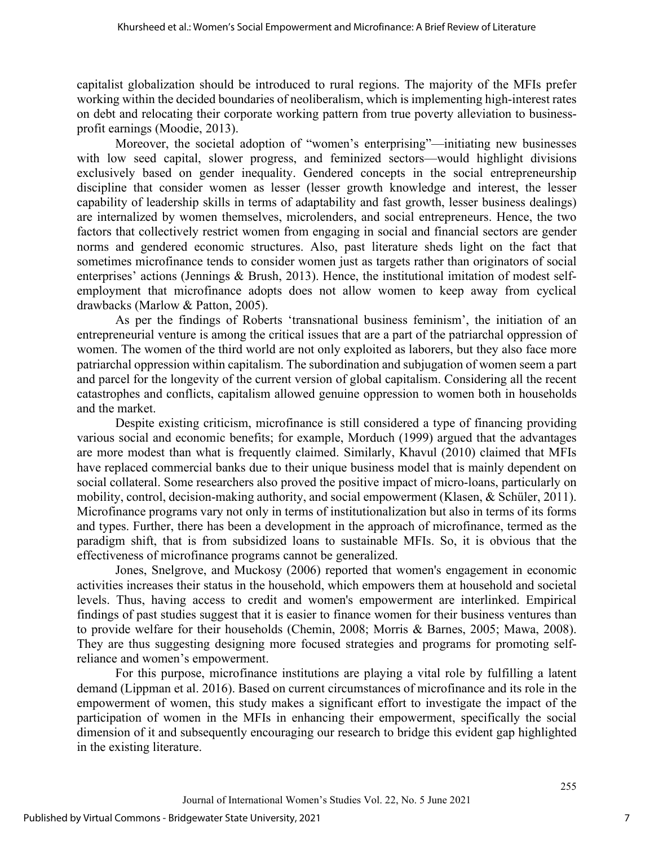capitalist globalization should be introduced to rural regions. The majority of the MFIs prefer working within the decided boundaries of neoliberalism, which is implementing high-interest rates on debt and relocating their corporate working pattern from true poverty alleviation to businessprofit earnings (Moodie, 2013).

Moreover, the societal adoption of "women's enterprising"—initiating new businesses with low seed capital, slower progress, and feminized sectors—would highlight divisions exclusively based on gender inequality. Gendered concepts in the social entrepreneurship discipline that consider women as lesser (lesser growth knowledge and interest, the lesser capability of leadership skills in terms of adaptability and fast growth, lesser business dealings) are internalized by women themselves, microlenders, and social entrepreneurs. Hence, the two factors that collectively restrict women from engaging in social and financial sectors are gender norms and gendered economic structures. Also, past literature sheds light on the fact that sometimes microfinance tends to consider women just as targets rather than originators of social enterprises' actions (Jennings & Brush, 2013). Hence, the institutional imitation of modest selfemployment that microfinance adopts does not allow women to keep away from cyclical drawbacks (Marlow & Patton, 2005).

As per the findings of Roberts 'transnational business feminism', the initiation of an entrepreneurial venture is among the critical issues that are a part of the patriarchal oppression of women. The women of the third world are not only exploited as laborers, but they also face more patriarchal oppression within capitalism. The subordination and subjugation of women seem a part and parcel for the longevity of the current version of global capitalism. Considering all the recent catastrophes and conflicts, capitalism allowed genuine oppression to women both in households and the market.

Despite existing criticism, microfinance is still considered a type of financing providing various social and economic benefits; for example, Morduch (1999) argued that the advantages are more modest than what is frequently claimed. Similarly, Khavul (2010) claimed that MFIs have replaced commercial banks due to their unique business model that is mainly dependent on social collateral. Some researchers also proved the positive impact of micro-loans, particularly on mobility, control, decision-making authority, and social empowerment (Klasen, & Schüler, 2011). Microfinance programs vary not only in terms of institutionalization but also in terms of its forms and types. Further, there has been a development in the approach of microfinance, termed as the paradigm shift, that is from subsidized loans to sustainable MFIs. So, it is obvious that the effectiveness of microfinance programs cannot be generalized.

Jones, Snelgrove, and Muckosy (2006) reported that women's engagement in economic activities increases their status in the household, which empowers them at household and societal levels. Thus, having access to credit and women's empowerment are interlinked. Empirical findings of past studies suggest that it is easier to finance women for their business ventures than to provide welfare for their households (Chemin, 2008; Morris & Barnes, 2005; Mawa, 2008). They are thus suggesting designing more focused strategies and programs for promoting selfreliance and women's empowerment.

For this purpose, microfinance institutions are playing a vital role by fulfilling a latent demand (Lippman et al. 2016). Based on current circumstances of microfinance and its role in the empowerment of women, this study makes a significant effort to investigate the impact of the participation of women in the MFIs in enhancing their empowerment, specifically the social dimension of it and subsequently encouraging our research to bridge this evident gap highlighted in the existing literature.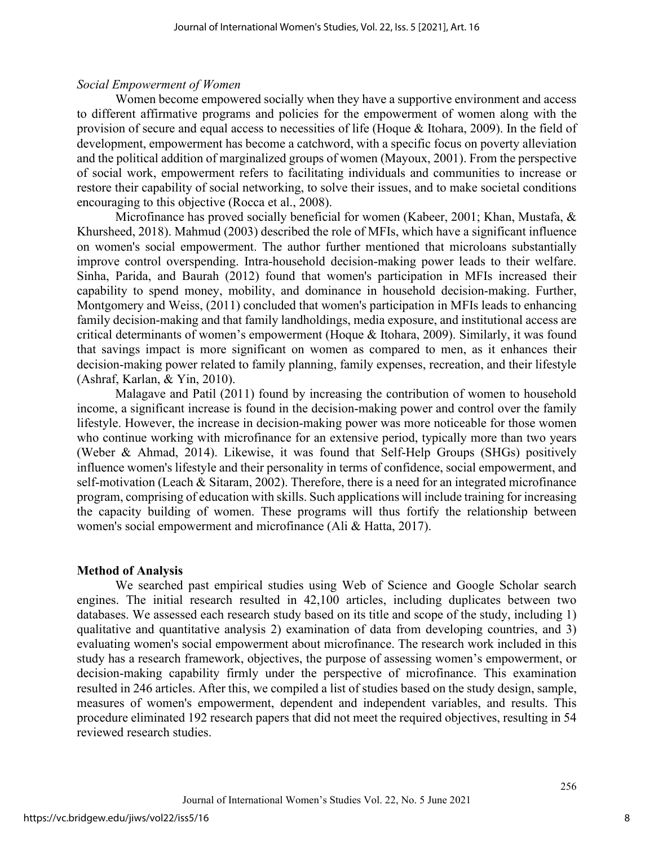#### *Social Empowerment of Women*

Women become empowered socially when they have a supportive environment and access to different affirmative programs and policies for the empowerment of women along with the provision of secure and equal access to necessities of life (Hoque & Itohara, 2009). In the field of development, empowerment has become a catchword, with a specific focus on poverty alleviation and the political addition of marginalized groups of women (Mayoux, 2001). From the perspective of social work, empowerment refers to facilitating individuals and communities to increase or restore their capability of social networking, to solve their issues, and to make societal conditions encouraging to this objective (Rocca et al., 2008).

Microfinance has proved socially beneficial for women (Kabeer, 2001; Khan, Mustafa, & Khursheed, 2018). Mahmud (2003) described the role of MFIs, which have a significant influence on women's social empowerment. The author further mentioned that microloans substantially improve control overspending. Intra-household decision-making power leads to their welfare. Sinha, Parida, and Baurah (2012) found that women's participation in MFIs increased their capability to spend money, mobility, and dominance in household decision-making. Further, Montgomery and Weiss, (2011) concluded that women's participation in MFIs leads to enhancing family decision-making and that family landholdings, media exposure, and institutional access are critical determinants of women's empowerment (Hoque & Itohara, 2009). Similarly, it was found that savings impact is more significant on women as compared to men, as it enhances their decision-making power related to family planning, family expenses, recreation, and their lifestyle (Ashraf, Karlan, & Yin, 2010).

Malagave and Patil (2011) found by increasing the contribution of women to household income, a significant increase is found in the decision-making power and control over the family lifestyle. However, the increase in decision-making power was more noticeable for those women who continue working with microfinance for an extensive period, typically more than two years (Weber & Ahmad, 2014). Likewise, it was found that Self-Help Groups (SHGs) positively influence women's lifestyle and their personality in terms of confidence, social empowerment, and self-motivation (Leach & Sitaram, 2002). Therefore, there is a need for an integrated microfinance program, comprising of education with skills. Such applications will include training for increasing the capacity building of women. These programs will thus fortify the relationship between women's social empowerment and microfinance (Ali & Hatta, 2017).

#### **Method of Analysis**

We searched past empirical studies using Web of Science and Google Scholar search engines. The initial research resulted in 42,100 articles, including duplicates between two databases. We assessed each research study based on its title and scope of the study, including 1) qualitative and quantitative analysis 2) examination of data from developing countries, and 3) evaluating women's social empowerment about microfinance. The research work included in this study has a research framework, objectives, the purpose of assessing women's empowerment, or decision-making capability firmly under the perspective of microfinance. This examination resulted in 246 articles. After this, we compiled a list of studies based on the study design, sample, measures of women's empowerment, dependent and independent variables, and results. This procedure eliminated 192 research papers that did not meet the required objectives, resulting in 54 reviewed research studies.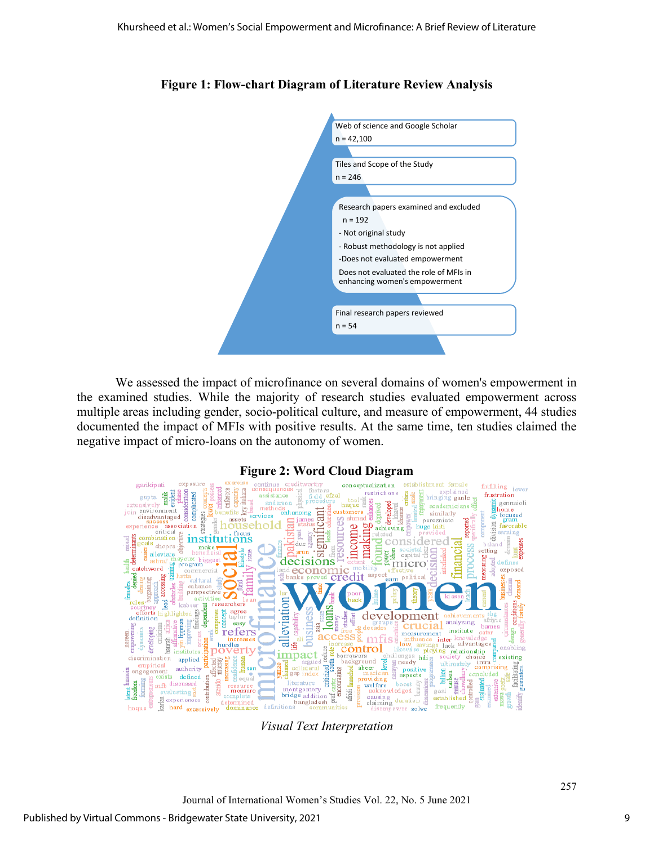



We assessed the impact of microfinance on several domains of women's empowerment in the examined studies. While the majority of research studies evaluated empowerment across multiple areas including gender, socio-political culture, and measure of empowerment, 44 studies documented the impact of MFIs with positive results. At the same time, ten studies claimed the negative impact of micro-loans on the autonomy of women.



**Figure 2: Word Cloud Diagram** 

*Visual Text Interpretation*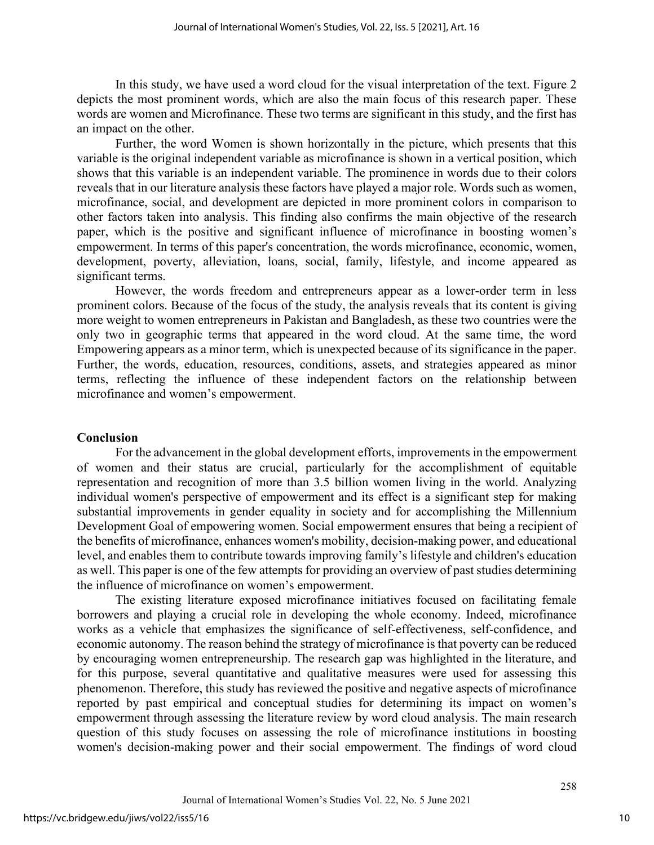In this study, we have used a word cloud for the visual interpretation of the text. Figure 2 depicts the most prominent words, which are also the main focus of this research paper. These words are women and Microfinance. These two terms are significant in this study, and the first has an impact on the other.

Further, the word Women is shown horizontally in the picture, which presents that this variable is the original independent variable as microfinance is shown in a vertical position, which shows that this variable is an independent variable. The prominence in words due to their colors reveals that in our literature analysis these factors have played a major role. Words such as women, microfinance, social, and development are depicted in more prominent colors in comparison to other factors taken into analysis. This finding also confirms the main objective of the research paper, which is the positive and significant influence of microfinance in boosting women's empowerment. In terms of this paper's concentration, the words microfinance, economic, women, development, poverty, alleviation, loans, social, family, lifestyle, and income appeared as significant terms.

However, the words freedom and entrepreneurs appear as a lower-order term in less prominent colors. Because of the focus of the study, the analysis reveals that its content is giving more weight to women entrepreneurs in Pakistan and Bangladesh, as these two countries were the only two in geographic terms that appeared in the word cloud. At the same time, the word Empowering appears as a minor term, which is unexpected because of its significance in the paper. Further, the words, education, resources, conditions, assets, and strategies appeared as minor terms, reflecting the influence of these independent factors on the relationship between microfinance and women's empowerment.

#### **Conclusion**

For the advancement in the global development efforts, improvements in the empowerment of women and their status are crucial, particularly for the accomplishment of equitable representation and recognition of more than 3.5 billion women living in the world. Analyzing individual women's perspective of empowerment and its effect is a significant step for making substantial improvements in gender equality in society and for accomplishing the Millennium Development Goal of empowering women. Social empowerment ensures that being a recipient of the benefits of microfinance, enhances women's mobility, decision-making power, and educational level, and enables them to contribute towards improving family's lifestyle and children's education as well. This paper is one of the few attempts for providing an overview of past studies determining the influence of microfinance on women's empowerment.

The existing literature exposed microfinance initiatives focused on facilitating female borrowers and playing a crucial role in developing the whole economy. Indeed, microfinance works as a vehicle that emphasizes the significance of self-effectiveness, self-confidence, and economic autonomy. The reason behind the strategy of microfinance is that poverty can be reduced by encouraging women entrepreneurship. The research gap was highlighted in the literature, and for this purpose, several quantitative and qualitative measures were used for assessing this phenomenon. Therefore, this study has reviewed the positive and negative aspects of microfinance reported by past empirical and conceptual studies for determining its impact on women's empowerment through assessing the literature review by word cloud analysis. The main research question of this study focuses on assessing the role of microfinance institutions in boosting women's decision-making power and their social empowerment. The findings of word cloud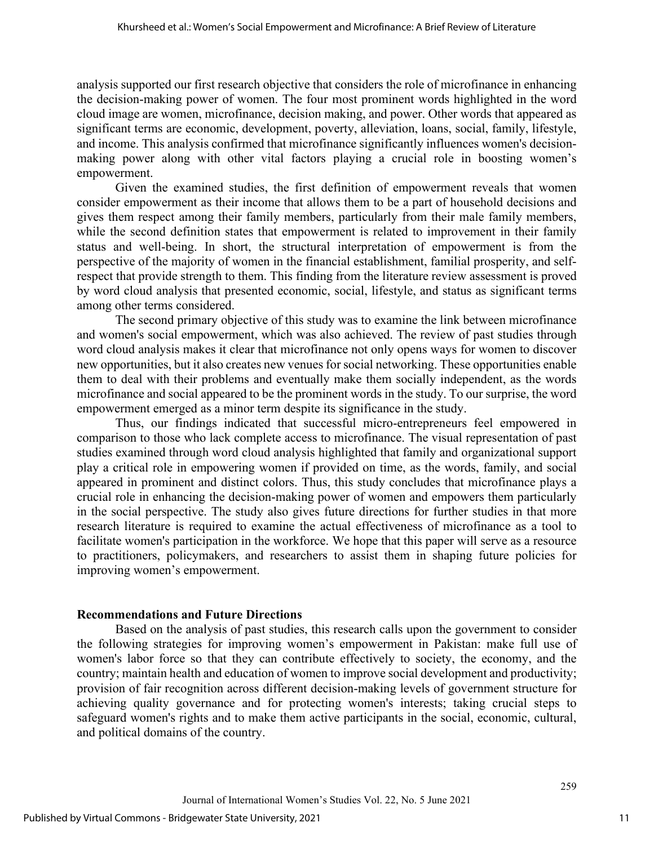analysis supported our first research objective that considers the role of microfinance in enhancing the decision-making power of women. The four most prominent words highlighted in the word cloud image are women, microfinance, decision making, and power. Other words that appeared as significant terms are economic, development, poverty, alleviation, loans, social, family, lifestyle, and income. This analysis confirmed that microfinance significantly influences women's decisionmaking power along with other vital factors playing a crucial role in boosting women's empowerment.

Given the examined studies, the first definition of empowerment reveals that women consider empowerment as their income that allows them to be a part of household decisions and gives them respect among their family members, particularly from their male family members, while the second definition states that empowerment is related to improvement in their family status and well-being. In short, the structural interpretation of empowerment is from the perspective of the majority of women in the financial establishment, familial prosperity, and selfrespect that provide strength to them. This finding from the literature review assessment is proved by word cloud analysis that presented economic, social, lifestyle, and status as significant terms among other terms considered.

The second primary objective of this study was to examine the link between microfinance and women's social empowerment, which was also achieved. The review of past studies through word cloud analysis makes it clear that microfinance not only opens ways for women to discover new opportunities, but it also creates new venues for social networking. These opportunities enable them to deal with their problems and eventually make them socially independent, as the words microfinance and social appeared to be the prominent words in the study. To our surprise, the word empowerment emerged as a minor term despite its significance in the study.

Thus, our findings indicated that successful micro-entrepreneurs feel empowered in comparison to those who lack complete access to microfinance. The visual representation of past studies examined through word cloud analysis highlighted that family and organizational support play a critical role in empowering women if provided on time, as the words, family, and social appeared in prominent and distinct colors. Thus, this study concludes that microfinance plays a crucial role in enhancing the decision-making power of women and empowers them particularly in the social perspective. The study also gives future directions for further studies in that more research literature is required to examine the actual effectiveness of microfinance as a tool to facilitate women's participation in the workforce. We hope that this paper will serve as a resource to practitioners, policymakers, and researchers to assist them in shaping future policies for improving women's empowerment.

#### **Recommendations and Future Directions**

Based on the analysis of past studies, this research calls upon the government to consider the following strategies for improving women's empowerment in Pakistan: make full use of women's labor force so that they can contribute effectively to society, the economy, and the country; maintain health and education of women to improve social development and productivity; provision of fair recognition across different decision-making levels of government structure for achieving quality governance and for protecting women's interests; taking crucial steps to safeguard women's rights and to make them active participants in the social, economic, cultural, and political domains of the country.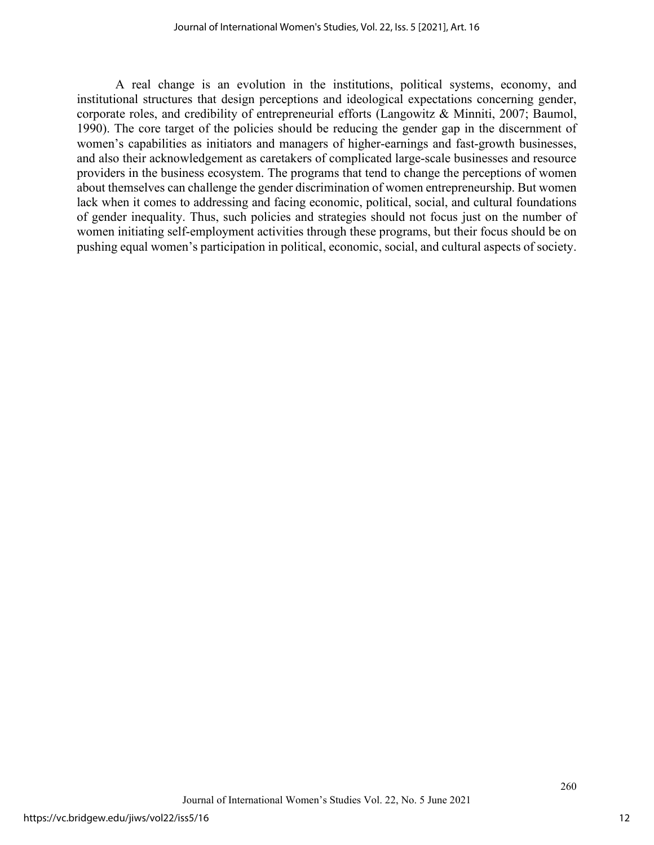A real change is an evolution in the institutions, political systems, economy, and institutional structures that design perceptions and ideological expectations concerning gender, corporate roles, and credibility of entrepreneurial efforts (Langowitz & Minniti, 2007; Baumol, 1990). The core target of the policies should be reducing the gender gap in the discernment of women's capabilities as initiators and managers of higher-earnings and fast-growth businesses, and also their acknowledgement as caretakers of complicated large-scale businesses and resource providers in the business ecosystem. The programs that tend to change the perceptions of women about themselves can challenge the gender discrimination of women entrepreneurship. But women lack when it comes to addressing and facing economic, political, social, and cultural foundations of gender inequality. Thus, such policies and strategies should not focus just on the number of women initiating self-employment activities through these programs, but their focus should be on pushing equal women's participation in political, economic, social, and cultural aspects of society.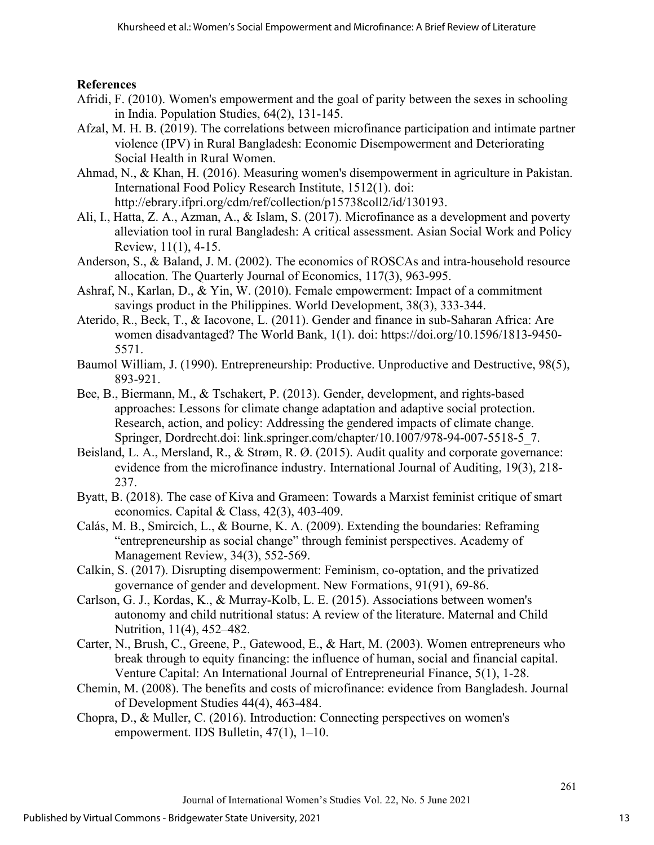### **References**

- Afridi, F. (2010). Women's empowerment and the goal of parity between the sexes in schooling in India. Population Studies, 64(2), 131-145.
- Afzal, M. H. B. (2019). The correlations between microfinance participation and intimate partner violence (IPV) in Rural Bangladesh: Economic Disempowerment and Deteriorating Social Health in Rural Women.
- Ahmad, N., & Khan, H. (2016). Measuring women's disempowerment in agriculture in Pakistan. International Food Policy Research Institute, 1512(1). doi: http://ebrary.ifpri.org/cdm/ref/collection/p15738coll2/id/130193.
- Ali, I., Hatta, Z. A., Azman, A., & Islam, S. (2017). Microfinance as a development and poverty alleviation tool in rural Bangladesh: A critical assessment. Asian Social Work and Policy Review, 11(1), 4-15.
- Anderson, S., & Baland, J. M. (2002). The economics of ROSCAs and intra-household resource allocation. The Quarterly Journal of Economics, 117(3), 963-995.
- Ashraf, N., Karlan, D., & Yin, W. (2010). Female empowerment: Impact of a commitment savings product in the Philippines. World Development, 38(3), 333-344.
- Aterido, R., Beck, T., & Iacovone, L. (2011). Gender and finance in sub-Saharan Africa: Are women disadvantaged? The World Bank, 1(1). doi: https://doi.org/10.1596/1813-9450- 5571.
- Baumol William, J. (1990). Entrepreneurship: Productive. Unproductive and Destructive, 98(5), 893-921.
- Bee, B., Biermann, M., & Tschakert, P. (2013). Gender, development, and rights-based approaches: Lessons for climate change adaptation and adaptive social protection. Research, action, and policy: Addressing the gendered impacts of climate change. Springer, Dordrecht.doi: link.springer.com/chapter/10.1007/978-94-007-5518-5\_7.
- Beisland, L. A., Mersland, R., & Strøm, R. Ø. (2015). Audit quality and corporate governance: evidence from the microfinance industry. International Journal of Auditing, 19(3), 218- 237.
- Byatt, B. (2018). The case of Kiva and Grameen: Towards a Marxist feminist critique of smart economics. Capital & Class,  $42(3)$ ,  $403-409$ .
- Calás, M. B., Smircich, L., & Bourne, K. A. (2009). Extending the boundaries: Reframing "entrepreneurship as social change" through feminist perspectives. Academy of Management Review, 34(3), 552-569.
- Calkin, S. (2017). Disrupting disempowerment: Feminism, co-optation, and the privatized governance of gender and development. New Formations, 91(91), 69-86.
- Carlson, G. J., Kordas, K., & Murray-Kolb, L. E. (2015). Associations between women's autonomy and child nutritional status: A review of the literature. Maternal and Child Nutrition, 11(4), 452–482.
- Carter, N., Brush, C., Greene, P., Gatewood, E., & Hart, M. (2003). Women entrepreneurs who break through to equity financing: the influence of human, social and financial capital. Venture Capital: An International Journal of Entrepreneurial Finance, 5(1), 1-28.
- Chemin, M. (2008). The benefits and costs of microfinance: evidence from Bangladesh. Journal of Development Studies 44(4), 463-484.
- Chopra, D., & Muller, C. (2016). Introduction: Connecting perspectives on women's empowerment. IDS Bulletin, 47(1), 1–10.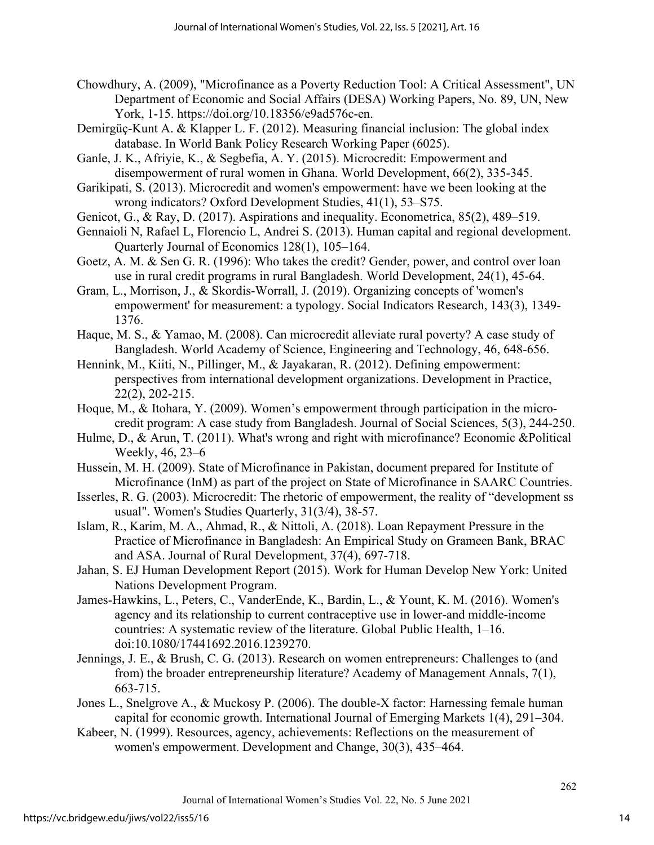- Chowdhury, A. (2009), "Microfinance as a Poverty Reduction Tool: A Critical Assessment", UN Department of Economic and Social Affairs (DESA) Working Papers, No. 89, UN, New York, 1-15. https://doi.org/10.18356/e9ad576c-en.
- Demirgüç-Kunt A. & Klapper L. F. (2012). Measuring financial inclusion: The global index database. In World Bank Policy Research Working Paper (6025).
- Ganle, J. K., Afriyie, K., & Segbefia, A. Y. (2015). Microcredit: Empowerment and disempowerment of rural women in Ghana. World Development, 66(2), 335-345.
- Garikipati, S. (2013). Microcredit and women's empowerment: have we been looking at the wrong indicators? Oxford Development Studies, 41(1), 53–S75.
- Genicot, G., & Ray, D. (2017). Aspirations and inequality. Econometrica, 85(2), 489–519.
- Gennaioli N, Rafael L, Florencio L, Andrei S. (2013). Human capital and regional development. Quarterly Journal of Economics 128(1), 105–164.
- Goetz, A. M. & Sen G. R. (1996): Who takes the credit? Gender, power, and control over loan use in rural credit programs in rural Bangladesh. World Development, 24(1), 45-64.
- Gram, L., Morrison, J., & Skordis-Worrall, J. (2019). Organizing concepts of 'women's empowerment' for measurement: a typology. Social Indicators Research, 143(3), 1349- 1376.
- Haque, M. S., & Yamao, M. (2008). Can microcredit alleviate rural poverty? A case study of Bangladesh. World Academy of Science, Engineering and Technology, 46, 648-656.
- Hennink, M., Kiiti, N., Pillinger, M., & Jayakaran, R. (2012). Defining empowerment: perspectives from international development organizations. Development in Practice, 22(2), 202-215.
- Hoque, M., & Itohara, Y. (2009). Women's empowerment through participation in the microcredit program: A case study from Bangladesh. Journal of Social Sciences, 5(3), 244-250.
- Hulme, D., & Arun, T. (2011). What's wrong and right with microfinance? Economic &Political Weekly, 46, 23–6
- Hussein, M. H. (2009). State of Microfinance in Pakistan, document prepared for Institute of Microfinance (InM) as part of the project on State of Microfinance in SAARC Countries.
- Isserles, R. G. (2003). Microcredit: The rhetoric of empowerment, the reality of "development ss usual". Women's Studies Quarterly, 31(3/4), 38-57.
- Islam, R., Karim, M. A., Ahmad, R., & Nittoli, A. (2018). Loan Repayment Pressure in the Practice of Microfinance in Bangladesh: An Empirical Study on Grameen Bank, BRAC and ASA. Journal of Rural Development, 37(4), 697-718.
- Jahan, S. EJ Human Development Report (2015). Work for Human Develop New York: United Nations Development Program.
- James-Hawkins, L., Peters, C., VanderEnde, K., Bardin, L., & Yount, K. M. (2016). Women's agency and its relationship to current contraceptive use in lower-and middle-income countries: A systematic review of the literature. Global Public Health, 1–16. doi:10.1080/17441692.2016.1239270.
- Jennings, J. E., & Brush, C. G. (2013). Research on women entrepreneurs: Challenges to (and from) the broader entrepreneurship literature? Academy of Management Annals, 7(1), 663-715.
- Jones L., Snelgrove A., & Muckosy P. (2006). The double-X factor: Harnessing female human capital for economic growth. International Journal of Emerging Markets 1(4), 291–304.
- Kabeer, N. (1999). Resources, agency, achievements: Reflections on the measurement of women's empowerment. Development and Change, 30(3), 435–464.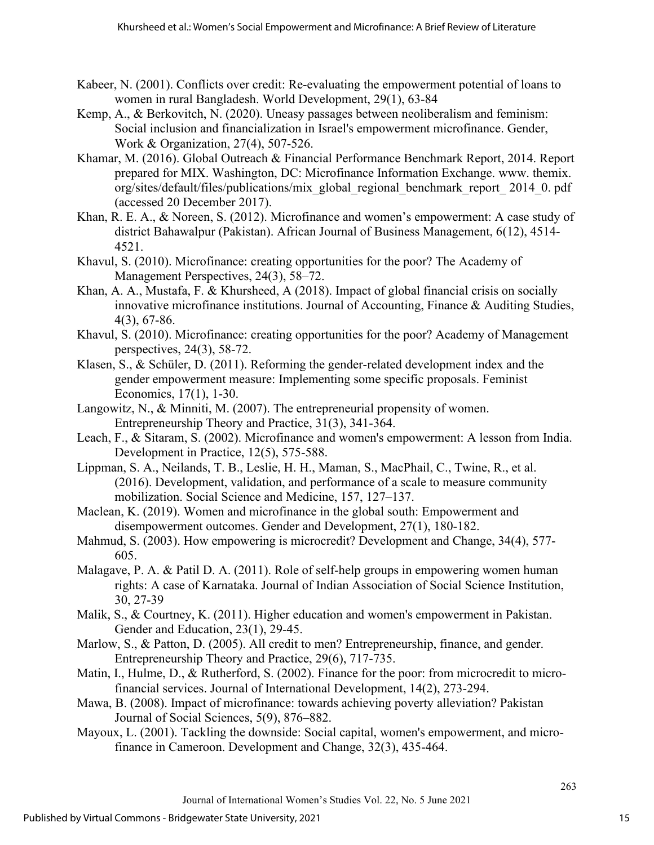- Kabeer, N. (2001). Conflicts over credit: Re-evaluating the empowerment potential of loans to women in rural Bangladesh. World Development, 29(1), 63-84
- Kemp, A., & Berkovitch, N. (2020). Uneasy passages between neoliberalism and feminism: Social inclusion and financialization in Israel's empowerment microfinance. Gender, Work & Organization, 27(4), 507-526.
- Khamar, M. (2016). Global Outreach & Financial Performance Benchmark Report, 2014. Report prepared for MIX. Washington, DC: Microfinance Information Exchange. www. themix. org/sites/default/files/publications/mix\_global\_regional\_benchmark\_report\_ 2014\_0. pdf (accessed 20 December 2017).
- Khan, R. E. A., & Noreen, S. (2012). Microfinance and women's empowerment: A case study of district Bahawalpur (Pakistan). African Journal of Business Management, 6(12), 4514- 4521.
- Khavul, S. (2010). Microfinance: creating opportunities for the poor? The Academy of Management Perspectives, 24(3), 58–72.
- Khan, A. A., Mustafa, F. & Khursheed, A (2018). Impact of global financial crisis on socially innovative microfinance institutions. Journal of Accounting, Finance & Auditing Studies, 4(3), 67-86.
- Khavul, S. (2010). Microfinance: creating opportunities for the poor? Academy of Management perspectives, 24(3), 58-72.
- Klasen, S., & Schüler, D. (2011). Reforming the gender-related development index and the gender empowerment measure: Implementing some specific proposals. Feminist Economics, 17(1), 1-30.
- Langowitz, N., & Minniti, M. (2007). The entrepreneurial propensity of women. Entrepreneurship Theory and Practice, 31(3), 341-364.
- Leach, F., & Sitaram, S. (2002). Microfinance and women's empowerment: A lesson from India. Development in Practice, 12(5), 575-588.
- Lippman, S. A., Neilands, T. B., Leslie, H. H., Maman, S., MacPhail, C., Twine, R., et al. (2016). Development, validation, and performance of a scale to measure community mobilization. Social Science and Medicine, 157, 127–137.
- Maclean, K. (2019). Women and microfinance in the global south: Empowerment and disempowerment outcomes. Gender and Development, 27(1), 180-182.
- Mahmud, S. (2003). How empowering is microcredit? Development and Change, 34(4), 577- 605.
- Malagave, P. A. & Patil D. A. (2011). Role of self-help groups in empowering women human rights: A case of Karnataka. Journal of Indian Association of Social Science Institution, 30, 27-39
- Malik, S., & Courtney, K. (2011). Higher education and women's empowerment in Pakistan. Gender and Education, 23(1), 29-45.
- Marlow, S., & Patton, D. (2005). All credit to men? Entrepreneurship, finance, and gender. Entrepreneurship Theory and Practice, 29(6), 717-735.
- Matin, I., Hulme, D., & Rutherford, S. (2002). Finance for the poor: from microcredit to microfinancial services. Journal of International Development, 14(2), 273-294.
- Mawa, B. (2008). Impact of microfinance: towards achieving poverty alleviation? Pakistan Journal of Social Sciences, 5(9), 876–882.
- Mayoux, L. (2001). Tackling the downside: Social capital, women's empowerment, and microfinance in Cameroon. Development and Change, 32(3), 435-464.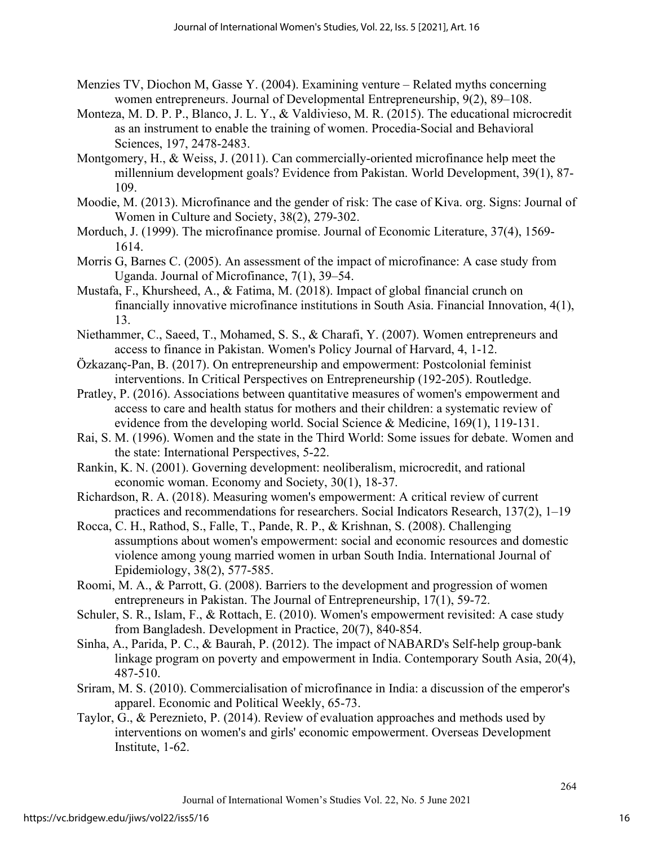- Menzies TV, Diochon M, Gasse Y. (2004). Examining venture Related myths concerning women entrepreneurs. Journal of Developmental Entrepreneurship, 9(2), 89–108.
- Monteza, M. D. P. P., Blanco, J. L. Y., & Valdivieso, M. R. (2015). The educational microcredit as an instrument to enable the training of women. Procedia-Social and Behavioral Sciences, 197, 2478-2483.
- Montgomery, H., & Weiss, J. (2011). Can commercially-oriented microfinance help meet the millennium development goals? Evidence from Pakistan. World Development, 39(1), 87- 109.
- Moodie, M. (2013). Microfinance and the gender of risk: The case of Kiva. org. Signs: Journal of Women in Culture and Society, 38(2), 279-302.
- Morduch, J. (1999). The microfinance promise. Journal of Economic Literature, 37(4), 1569- 1614.
- Morris G, Barnes C. (2005). An assessment of the impact of microfinance: A case study from Uganda. Journal of Microfinance, 7(1), 39–54.
- Mustafa, F., Khursheed, A., & Fatima, M. (2018). Impact of global financial crunch on financially innovative microfinance institutions in South Asia. Financial Innovation, 4(1), 13.
- Niethammer, C., Saeed, T., Mohamed, S. S., & Charafi, Y. (2007). Women entrepreneurs and access to finance in Pakistan. Women's Policy Journal of Harvard, 4, 1-12.
- Özkazanç-Pan, B. (2017). On entrepreneurship and empowerment: Postcolonial feminist interventions. In Critical Perspectives on Entrepreneurship (192-205). Routledge.
- Pratley, P. (2016). Associations between quantitative measures of women's empowerment and access to care and health status for mothers and their children: a systematic review of evidence from the developing world. Social Science & Medicine, 169(1), 119-131.
- Rai, S. M. (1996). Women and the state in the Third World: Some issues for debate. Women and the state: International Perspectives, 5-22.
- Rankin, K. N. (2001). Governing development: neoliberalism, microcredit, and rational economic woman. Economy and Society, 30(1), 18-37.
- Richardson, R. A. (2018). Measuring women's empowerment: A critical review of current practices and recommendations for researchers. Social Indicators Research, 137(2), 1–19
- Rocca, C. H., Rathod, S., Falle, T., Pande, R. P., & Krishnan, S. (2008). Challenging assumptions about women's empowerment: social and economic resources and domestic violence among young married women in urban South India. International Journal of Epidemiology, 38(2), 577-585.
- Roomi, M. A., & Parrott, G. (2008). Barriers to the development and progression of women entrepreneurs in Pakistan. The Journal of Entrepreneurship, 17(1), 59-72.
- Schuler, S. R., Islam, F., & Rottach, E. (2010). Women's empowerment revisited: A case study from Bangladesh. Development in Practice, 20(7), 840-854.
- Sinha, A., Parida, P. C., & Baurah, P. (2012). The impact of NABARD's Self-help group-bank linkage program on poverty and empowerment in India. Contemporary South Asia, 20(4), 487-510.
- Sriram, M. S. (2010). Commercialisation of microfinance in India: a discussion of the emperor's apparel. Economic and Political Weekly, 65-73.
- Taylor, G., & Pereznieto, P. (2014). Review of evaluation approaches and methods used by interventions on women's and girls' economic empowerment. Overseas Development Institute, 1-62.